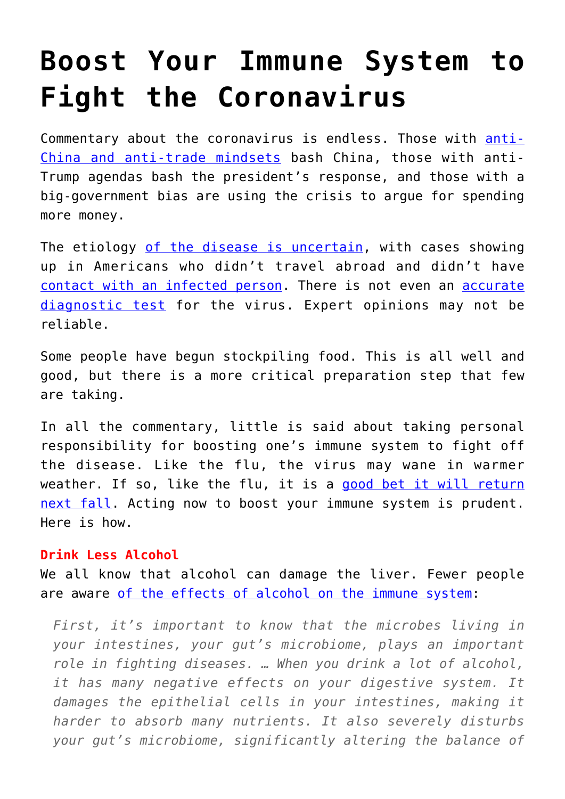# **[Boost Your Immune System to](https://intellectualtakeout.org/2020/03/boost-your-immune-system-to-fight-the-coronavirus/) [Fight the Coronavirus](https://intellectualtakeout.org/2020/03/boost-your-immune-system-to-fight-the-coronavirus/)**

Commentary about the coronavirus is endless. Those with [anti-](https://reason.com/2020/02/27/the-one-thing-we-know-for-sure-about-the-coronavirus-outbreak-is-that-pols-will-use-it-to-push-their-agendas/?)[China and anti-trade mindsets](https://reason.com/2020/02/27/the-one-thing-we-know-for-sure-about-the-coronavirus-outbreak-is-that-pols-will-use-it-to-push-their-agendas/?) bash China, those with anti-Trump agendas bash the president's response, and those with a big-government bias are using the crisis to argue for spending more money.

The etiology [of the disease is uncertain,](https://www.cdc.gov/coronavirus/2019-ncov/about/transmission.html) with cases showing up in Americans who didn't travel abroad and didn't have [contact with an infected person](https://www.sciencemag.org/news/2020/02/united-states-badly-bungled-coronavirus-testing-things-may-soon-improve). There is not even an [accurate](https://www.sciencemag.org/news/2020/02/united-states-badly-bungled-coronavirus-testing-things-may-soon-improve) [diagnostic test](https://www.sciencemag.org/news/2020/02/united-states-badly-bungled-coronavirus-testing-things-may-soon-improve) for the virus. Expert opinions may not be reliable.

Some people have begun stockpiling food. This is all well and good, but there is a more critical preparation step that few are taking.

In all the commentary, little is said about taking personal responsibility for boosting one's immune system to fight off the disease. Like the flu, the virus may wane in warmer weather. If so, like the flu, it is a [good bet it will return](https://finance.yahoo.com/news/coronavirus-end-game-look-000023845.html?) [next fall.](https://finance.yahoo.com/news/coronavirus-end-game-look-000023845.html?) Acting now to boost your immune system is prudent. Here is how.

## **Drink Less Alcohol**

We all know that alcohol can damage the liver. Fewer people are aware [of the effects of alcohol on the immune system:](https://www.recoveryways.com/rehab-blog/how-does-alcohol-affect-your-immune-system/)

*First, it's important to know that the microbes living in your intestines, your gut's microbiome, plays an important role in fighting diseases. … When you drink a lot of alcohol, it has many negative effects on your digestive system. It damages the epithelial cells in your intestines, making it harder to absorb many nutrients. It also severely disturbs your gut's microbiome, significantly altering the balance of*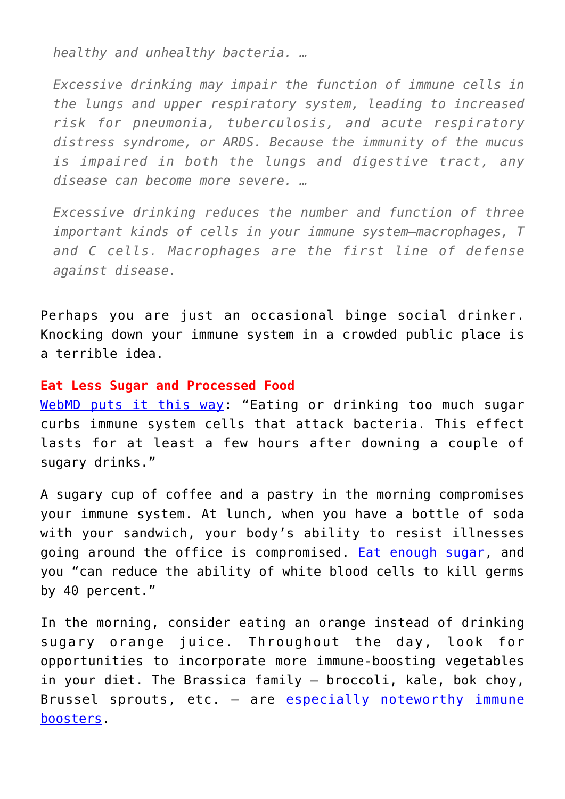*healthy and unhealthy bacteria. …* 

*Excessive drinking may impair the function of immune cells in the lungs and upper respiratory system, leading to increased risk for pneumonia, tuberculosis, and acute respiratory distress syndrome, or ARDS. Because the immunity of the mucus is impaired in both the lungs and digestive tract, any disease can become more severe. …* 

*Excessive drinking reduces the number and function of three important kinds of cells in your immune system–macrophages, T and C cells. Macrophages are the first line of defense against disease.*

Perhaps you are just an occasional binge social drinker. Knocking down your immune system in a crowded public place is a terrible idea.

#### **Eat Less Sugar and Processed Food**

[WebMD puts it this way](https://www.webmd.com/cold-and-flu/cold-guide/10-immune-system-busters-boosters#1): "Eating or drinking too much sugar curbs immune system cells that attack bacteria. This effect lasts for at least a few hours after downing a couple of sugary drinks."

A sugary cup of coffee and a pastry in the morning compromises your immune system. At lunch, when you have a bottle of soda with your sandwich, your body's ability to resist illnesses going around the office is compromised. **Eat enough sugar**, and you "can reduce the ability of white blood cells to kill germs by 40 percent."

In the morning, consider eating an orange instead of drinking sugary orange juice. Throughout the day, look for opportunities to incorporate more immune-boosting vegetables in your diet. The Brassica family – broccoli, kale, bok choy, Brussel sprouts, etc. - are [especially noteworthy immune](https://www.ncbi.nlm.nih.gov/pubmed/23631258) [boosters.](https://www.ncbi.nlm.nih.gov/pubmed/23631258)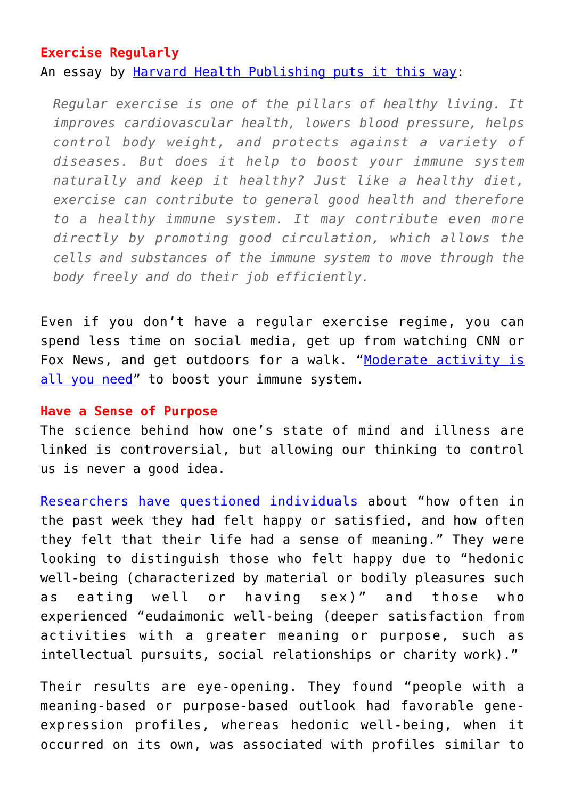## **Exercise Regularly**

An essay by [Harvard Health Publishing puts it this way](https://www.health.harvard.edu/staying-healthy/how-to-boost-your-immune-system):

*Regular exercise is one of the pillars of healthy living. It improves cardiovascular health, lowers blood pressure, helps control body weight, and protects against a variety of diseases. But does it help to boost your immune system naturally and keep it healthy? Just like a healthy diet, exercise can contribute to general good health and therefore to a healthy immune system. It may contribute even more directly by promoting good circulation, which allows the cells and substances of the immune system to move through the body freely and do their job efficiently.*

Even if you don't have a regular exercise regime, you can spend less time on social media, get up from watching CNN or Fox News, and get outdoors for a walk. "[Moderate activity is](https://www.webmd.com/cold-and-flu/cold-guide/exercise-when-you-have-cold#1) [all you need](https://www.webmd.com/cold-and-flu/cold-guide/exercise-when-you-have-cold#1)" to boost your immune system.

### **Have a Sense of Purpose**

The science behind how one's state of mind and illness are linked is controversial, but allowing our thinking to control us is never a good idea.

[Researchers have questioned individuals](https://www.scientificamerican.com/article/how-happiness-boosts-the-immune-system/) about "how often in the past week they had felt happy or satisfied, and how often they felt that their life had a sense of meaning." They were looking to distinguish those who felt happy due to "hedonic well-being (characterized by material or bodily pleasures such as eating well or having sex)" and those who experienced "eudaimonic well-being (deeper satisfaction from activities with a greater meaning or purpose, such as intellectual pursuits, social relationships or charity work)."

Their results are eye-opening. They found "people with a meaning-based or purpose-based outlook had favorable geneexpression profiles, whereas hedonic well-being, when it occurred on its own, was associated with profiles similar to